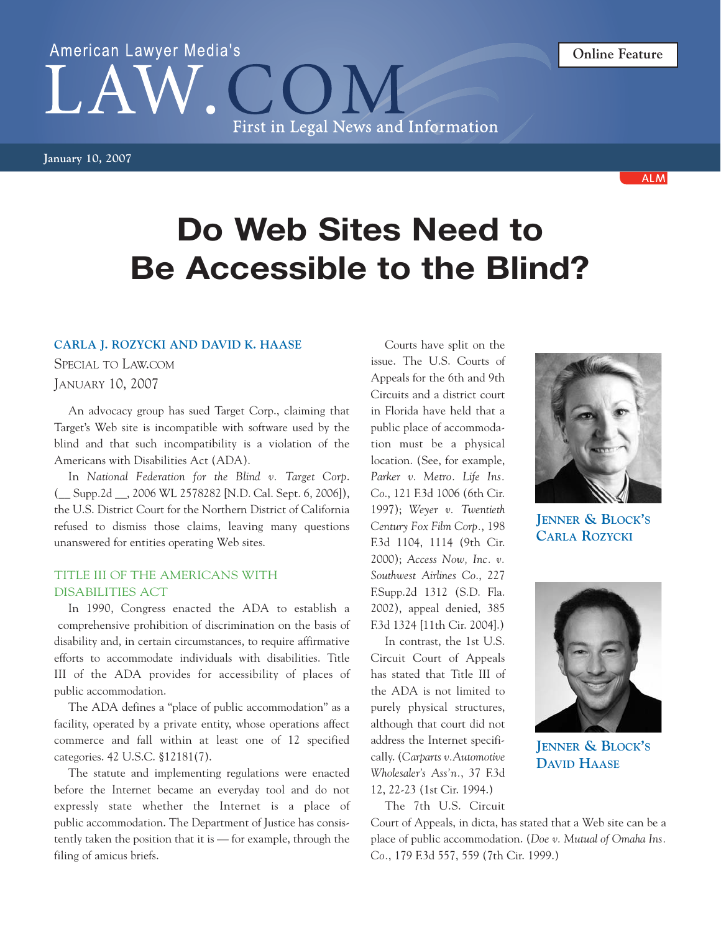**January 10, 2007**

American Lawyer Media's

# **Do Web Sites Need to Be Accessible to the Blind?**

First in Legal News and Information

#### **CARLA J. ROZYCKI AND DAVID K. HAASE**

# SPECIAL TO LAW.COM

JANUARY 10, 2007

An advocacy group has sued Target Corp., claiming that Target's Web site is incompatible with software used by the blind and that such incompatibility is a violation of the Americans with Disabilities Act (ADA).

In *National Federation for the Blind v. Target Corp*. (\_\_ Supp.2d \_\_, 2006 WL 2578282 [N.D. Cal. Sept. 6, 2006]), the U.S. District Court for the Northern District of California refused to dismiss those claims, leaving many questions unanswered for entities operating Web sites.

## TITLE III OF THE AMERICANS WITH DISABILITIES ACT

In 1990, Congress enacted the ADA to establish a comprehensive prohibition of discrimination on the basis of disability and, in certain circumstances, to require affirmative efforts to accommodate individuals with disabilities. Title III of the ADA provides for accessibility of places of public accommodation.

The ADA defines a "place of public accommodation" as a facility, operated by a private entity, whose operations affect commerce and fall within at least one of 12 specified categories. 42 U.S.C. §12181(7).

The statute and implementing regulations were enacted before the Internet became an everyday tool and do not expressly state whether the Internet is a place of public accommodation. The Department of Justice has consistently taken the position that it is — for example, through the filing of amicus briefs.

Courts have split on the issue. The U.S. Courts of Appeals for the 6th and 9th Circuits and a district court in Florida have held that a public place of accommodation must be a physical location. (See, for example, *Parker v. Metro. Life Ins. Co*., 121 F.3d 1006 (6th Cir. 1997); *Weyer v. Twentieth Century Fox Film Corp.*, 198 F.3d 1104, 1114 (9th Cir. 2000); *Access Now, Inc. v. Southwest Airlines Co*., 227 F.Supp.2d 1312 (S.D. Fla. 2002), appeal denied, 385 F.3d 1324 [11th Cir. 2004].)

In contrast, the 1st U.S. Circuit Court of Appeals has stated that Title III of the ADA is not limited to purely physical structures, although that court did not address the Internet specifically. (*Carparts v.Automotive Wholesaler's Ass'n.*, 37 F.3d 12, 22-23 (1st Cir. 1994.)

The 7th U.S. Circuit

Court of Appeals, in dicta, has stated that a Web site can be a place of public accommodation. (*Doe v. Mutual of Omaha Ins. Co.*, 179 F.3d 557, 559 (7th Cir. 1999.)



**JENNER & BLOCK'S CARLA ROZYCKI**





ALM